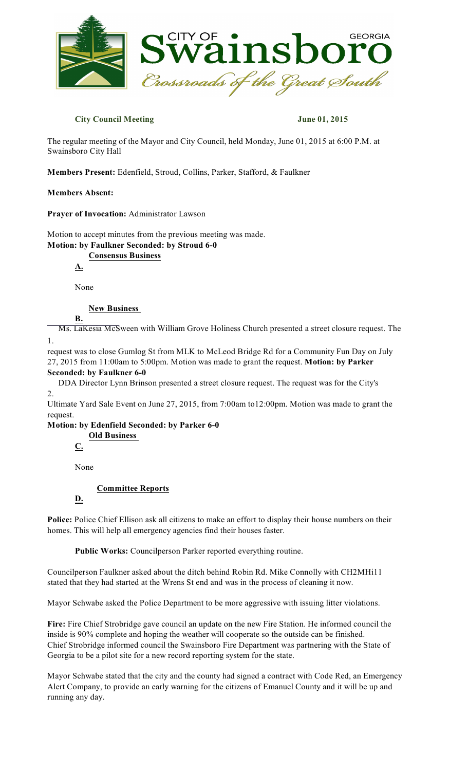

### **City Council Meeting June 01, 2015**

The regular meeting of the Mayor and City Council, held Monday, June 01, 2015 at 6:00 P.M. at Swainsboro City Hall

**Members Present:** Edenfield, Stroud, Collins, Parker, Stafford, & Faulkner

#### **Members Absent:**

**Prayer of Invocation:** Administrator Lawson

Motion to accept minutes from the previous meeting was made. **Motion: by Faulkner Seconded: by Stroud 6-0**

**Consensus Business**

**A.**

None

**B.**

**New Business**

1. Ms. LaKesia McSween with William Grove Holiness Church presented a street closure request. The

request was to close Gumlog St from MLK to McLeod Bridge Rd for a Community Fun Day on July 27, 2015 from 11:00am to 5:00pm. Motion was made to grant the request. **Motion: by Parker Seconded: by Faulkner 6-0**

 $\mathcal{L}$ DDA Director Lynn Brinson presented a street closure request. The request was for the City's

Ultimate Yard Sale Event on June 27, 2015, from 7:00am to12:00pm. Motion was made to grant the request.

**Motion: by Edenfield Seconded: by Parker 6-0**

**Old Business**

**C.**

None

**Committee Reports**

## **D.**

**Police:** Police Chief Ellison ask all citizens to make an effort to display their house numbers on their homes. This will help all emergency agencies find their houses faster.

**Public Works:** Councilperson Parker reported everything routine.

Councilperson Faulkner asked about the ditch behind Robin Rd. Mike Connolly with CH2MHi11 stated that they had started at the Wrens St end and was in the process of cleaning it now.

Mayor Schwabe asked the Police Department to be more aggressive with issuing litter violations.

**Fire:** Fire Chief Strobridge gave council an update on the new Fire Station. He informed council the inside is 90% complete and hoping the weather will cooperate so the outside can be finished. Chief Strobridge informed council the Swainsboro Fire Department was partnering with the State of Georgia to be a pilot site for a new record reporting system for the state.

Mayor Schwabe stated that the city and the county had signed a contract with Code Red, an Emergency Alert Company, to provide an early warning for the citizens of Emanuel County and it will be up and running any day.